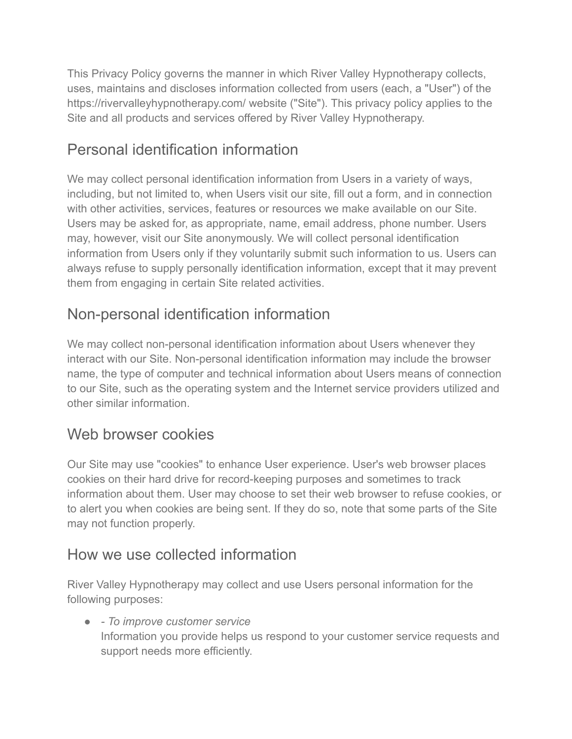This Privacy Policy governs the manner in which River Valley Hypnotherapy collects, uses, maintains and discloses information collected from users (each, a "User") of the https://rivervalleyhypnotherapy.com/ website ("Site"). This privacy policy applies to the Site and all products and services offered by River Valley Hypnotherapy.

# Personal identification information

We may collect personal identification information from Users in a variety of ways, including, but not limited to, when Users visit our site, fill out a form, and in connection with other activities, services, features or resources we make available on our Site. Users may be asked for, as appropriate, name, email address, phone number. Users may, however, visit our Site anonymously. We will collect personal identification information from Users only if they voluntarily submit such information to us. Users can always refuse to supply personally identification information, except that it may prevent them from engaging in certain Site related activities.

# Non-personal identification information

We may collect non-personal identification information about Users whenever they interact with our Site. Non-personal identification information may include the browser name, the type of computer and technical information about Users means of connection to our Site, such as the operating system and the Internet service providers utilized and other similar information.

# Web browser cookies

Our Site may use "cookies" to enhance User experience. User's web browser places cookies on their hard drive for record-keeping purposes and sometimes to track information about them. User may choose to set their web browser to refuse cookies, or to alert you when cookies are being sent. If they do so, note that some parts of the Site may not function properly.

# How we use collected information

River Valley Hypnotherapy may collect and use Users personal information for the following purposes:

● *- To improve customer service* Information you provide helps us respond to your customer service requests and support needs more efficiently.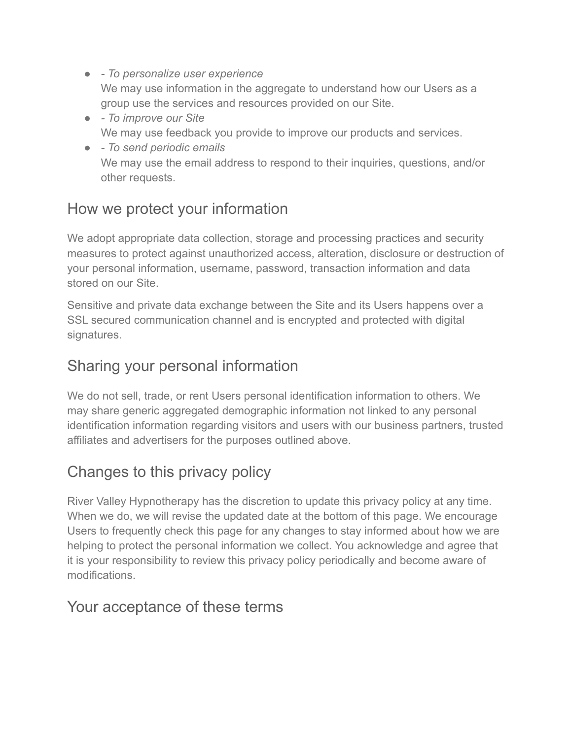- *To personalize user experience* We may use information in the aggregate to understand how our Users as a group use the services and resources provided on our Site.
- *To improve our Site* We may use feedback you provide to improve our products and services.
- *To send periodic emails* We may use the email address to respond to their inquiries, questions, and/or other requests.

### How we protect your information

We adopt appropriate data collection, storage and processing practices and security measures to protect against unauthorized access, alteration, disclosure or destruction of your personal information, username, password, transaction information and data stored on our Site.

Sensitive and private data exchange between the Site and its Users happens over a SSL secured communication channel and is encrypted and protected with digital signatures.

### Sharing your personal information

We do not sell, trade, or rent Users personal identification information to others. We may share generic aggregated demographic information not linked to any personal identification information regarding visitors and users with our business partners, trusted affiliates and advertisers for the purposes outlined above.

# Changes to this privacy policy

River Valley Hypnotherapy has the discretion to update this privacy policy at any time. When we do, we will revise the updated date at the bottom of this page. We encourage Users to frequently check this page for any changes to stay informed about how we are helping to protect the personal information we collect. You acknowledge and agree that it is your responsibility to review this privacy policy periodically and become aware of modifications.

#### Your acceptance of these terms